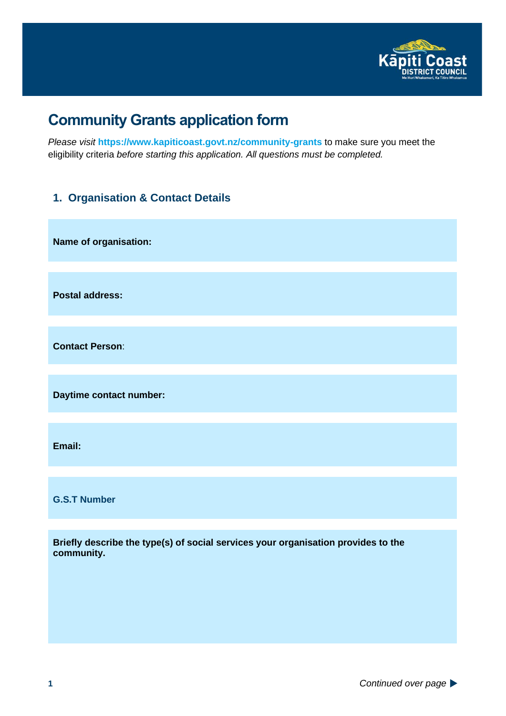

# **Community Grants application form**

*Please visit* **<https://www.kapiticoast.govt.nz/community-grants>** to make sure you meet the eligibility criteria *before starting this application. All questions must be completed.*

### **1. Organisation & Contact Details**

**Name of organisation: Postal address: Contact Person**: **Daytime contact number:**

**Email:**

**G.S.T Number**

**Briefly describe the type(s) of social services your organisation provides to the community.**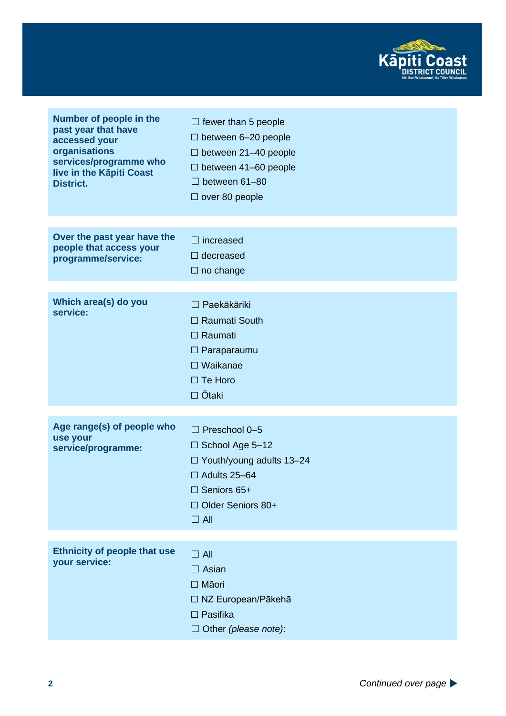

| Number of people in the<br>past year that have<br>accessed your<br>organisations<br>services/programme who<br>live in the Kāpiti Coast<br><b>District.</b> | $\Box$ fewer than 5 people<br>$\Box$ between 6-20 people<br>$\Box$ between 21-40 people<br>$\Box$ between 41-60 people<br>between 61-80<br>$\Box$ over 80 people |
|------------------------------------------------------------------------------------------------------------------------------------------------------------|------------------------------------------------------------------------------------------------------------------------------------------------------------------|
| Over the past year have the<br>people that access your<br>programme/service:                                                                               | $\Box$ increased<br>$\Box$ decreased<br>$\Box$ no change                                                                                                         |
| Which area(s) do you<br>service:                                                                                                                           | Paekākāriki<br>$\Box$ Raumati South<br>$\Box$ Raumati<br>$\Box$ Paraparaumu<br>$\Box$ Waikanae<br>$\Box$ Te Horo<br>□ Ōtaki                                      |
| Age range(s) of people who                                                                                                                                 | $\Box$ Preschool 0-5                                                                                                                                             |
| use your<br>service/programme:                                                                                                                             | □ School Age 5-12<br>$\Box$ Youth/young adults 13-24<br>$\Box$ Adults 25-64<br>$\Box$ Seniors 65+<br>□ Older Seniors 80+<br>$\Box$ All                           |
| <b>Ethnicity of people that use</b>                                                                                                                        | $\Box$ All                                                                                                                                                       |
| your service:                                                                                                                                              | $\Box$ Asian                                                                                                                                                     |
|                                                                                                                                                            | □ Māori<br>$\Box$ NZ European/Pākehā                                                                                                                             |
|                                                                                                                                                            | $\Box$ Pasifika                                                                                                                                                  |
|                                                                                                                                                            | $\Box$ Other (please note):                                                                                                                                      |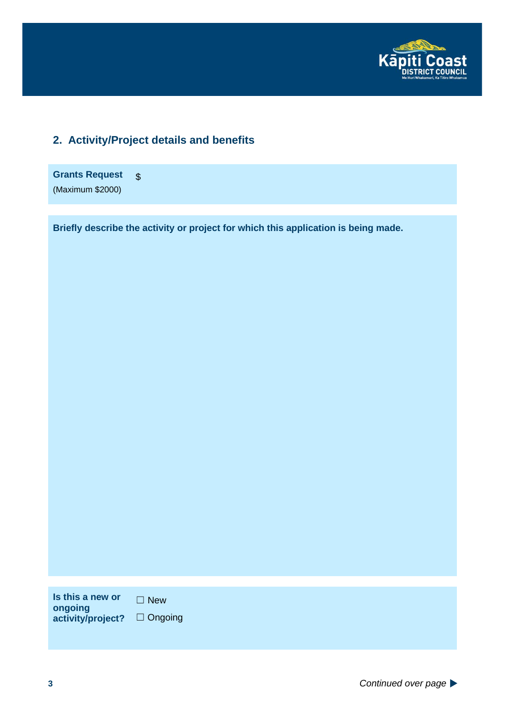

## **2. Activity/Project details and benefits**

**Grants Request** (Maximum \$2000) \$

**Briefly describe the activity or project for which this application is being made.**

**Is this a new or ongoing activity/project?**

☐ New □ Ongoing

**3** *Continued over page*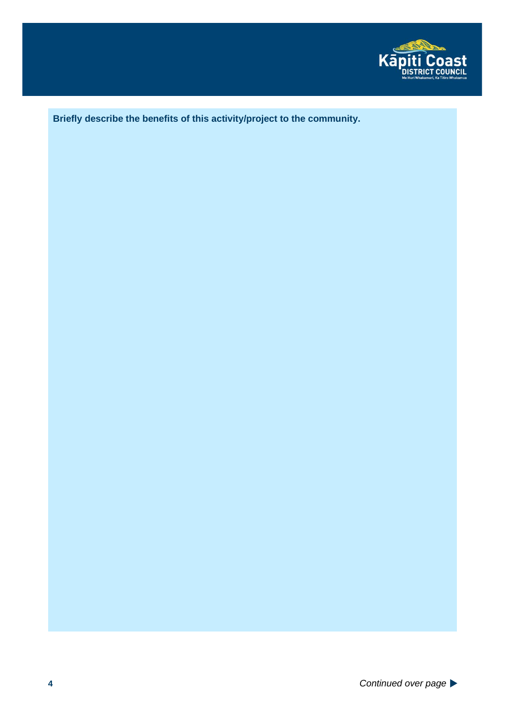

**Briefly describe the benefits of this activity/project to the community.**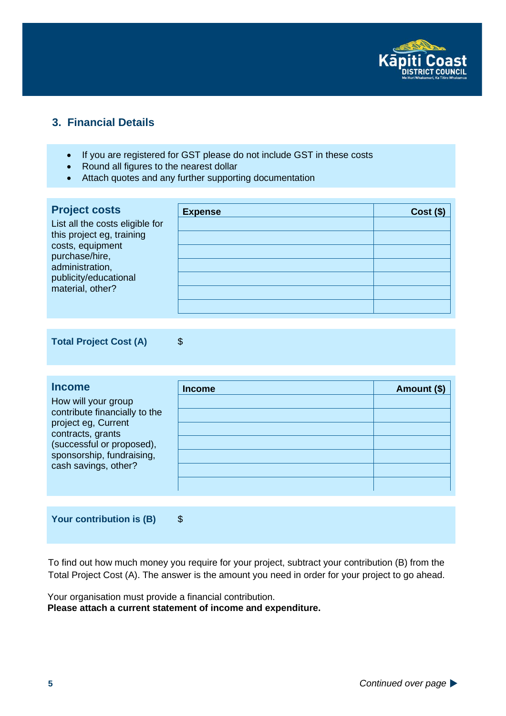

#### **3. Financial Details**

- If you are registered for GST please do not include GST in these costs
- Round all figures to the nearest dollar
- Attach quotes and any further supporting documentation

| <b>Project costs</b>                      | <b>Expense</b> | $Cost($ \$) |
|-------------------------------------------|----------------|-------------|
| List all the costs eligible for           |                |             |
| this project eg, training                 |                |             |
| costs, equipment<br>purchase/hire,        |                |             |
| administration,                           |                |             |
| publicity/educational<br>material, other? |                |             |
|                                           |                |             |
|                                           |                |             |

Total Project Cost (A) \$

**Income** How will your group contribute financially to the project eg, Current contracts, grants (successful or proposed), sponsorship, fundraising, cash savings, other? **Income** Amount (\$)

**Your contribution is (B)** \$

To find out how much money you require for your project, subtract your contribution (B) from the Total Project Cost (A). The answer is the amount you need in order for your project to go ahead.

Your organisation must provide a financial contribution. **Please attach a current statement of income and expenditure.**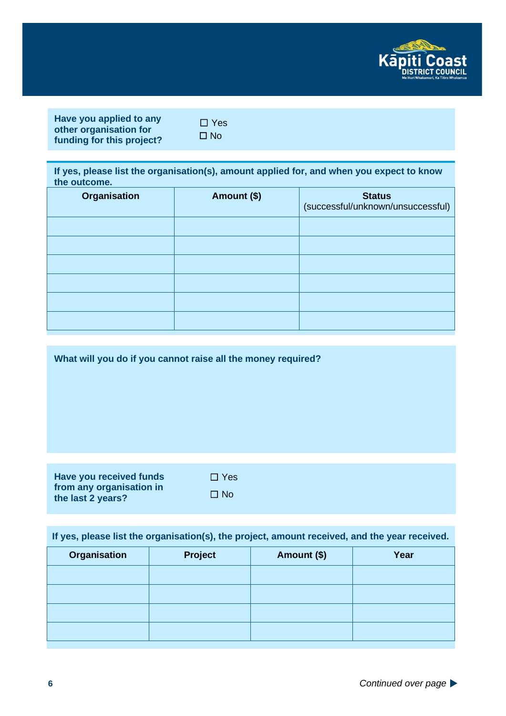

| Have you applied to any   |
|---------------------------|
| other organisation for    |
| funding for this project? |

☐ Yes ☐ No

**If yes, please list the organisation(s), amount applied for, and when you expect to know the outcome.**

| <b>Organisation</b> | Amount (\$) | <b>Status</b><br>(successful/unknown/unsuccessful) |
|---------------------|-------------|----------------------------------------------------|
|                     |             |                                                    |
|                     |             |                                                    |
|                     |             |                                                    |
|                     |             |                                                    |
|                     |             |                                                    |
|                     |             |                                                    |

**What will you do if you cannot raise all the money required?**

| <b>Have you received funds</b> |
|--------------------------------|
| from any organisation in       |
| the last 2 years?              |

| $\Box$ Yes |
|------------|
| ⊟ No       |

**If yes, please list the organisation(s), the project, amount received, and the year received.**

| <b>Organisation</b> | Project | Amount (\$) | Year |
|---------------------|---------|-------------|------|
|                     |         |             |      |
|                     |         |             |      |
|                     |         |             |      |
|                     |         |             |      |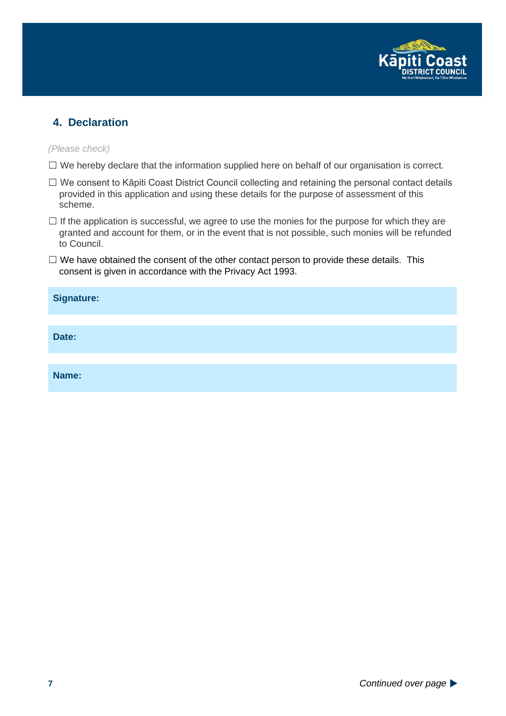

#### **4. Declaration**

*(Please check)*

- ☐ We hereby declare that the information supplied here on behalf of our organisation is correct.
- ☐ We consent to Kāpiti Coast District Council collecting and retaining the personal contact details provided in this application and using these details for the purpose of assessment of this scheme.
- $\Box$  If the application is successful, we agree to use the monies for the purpose for which they are granted and account for them, or in the event that is not possible, such monies will be refunded to Council.
- $\Box$  We have obtained the consent of the other contact person to provide these details. This consent is given in accordance with the Privacy Act 1993.

| <b>Signature:</b> |  |
|-------------------|--|
|                   |  |
| Date:             |  |
|                   |  |
| Name:             |  |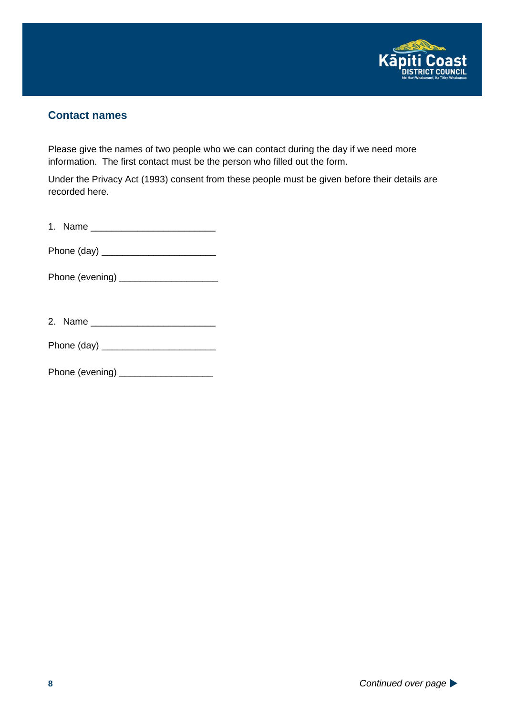

#### **Contact names**

Please give the names of two people who we can contact during the day if we need more information. The first contact must be the person who filled out the form.

Under the Privacy Act (1993) consent from these people must be given before their details are recorded here.

| ٠ | Name<br>. |  |
|---|-----------|--|
|   |           |  |

Phone (day) \_\_\_\_\_\_\_\_\_\_\_\_\_\_\_\_\_\_\_\_\_\_

Phone (evening) \_\_\_\_\_\_\_\_\_\_\_\_\_\_\_\_\_\_\_

| ົ | 2. Name |  |
|---|---------|--|
|---|---------|--|

Phone (day) \_\_\_\_\_\_\_\_\_\_\_\_\_\_\_\_\_\_\_\_\_\_

Phone (evening) \_\_\_\_\_\_\_\_\_\_\_\_\_\_\_\_\_\_